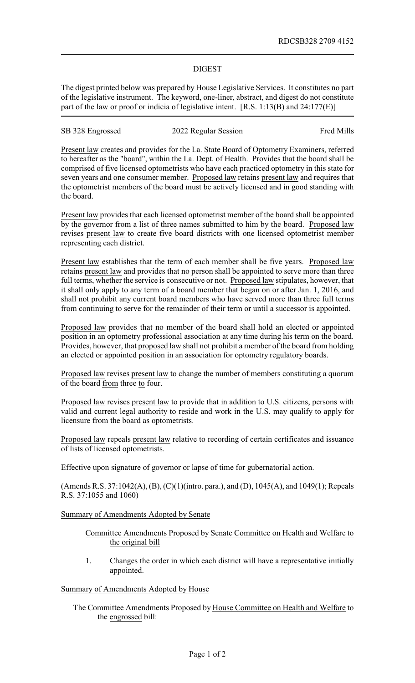## DIGEST

The digest printed below was prepared by House Legislative Services. It constitutes no part of the legislative instrument. The keyword, one-liner, abstract, and digest do not constitute part of the law or proof or indicia of legislative intent. [R.S. 1:13(B) and 24:177(E)]

SB 328 Engrossed 2022 Regular Session Fred Mills

Present law creates and provides for the La. State Board of Optometry Examiners, referred to hereafter as the "board", within the La. Dept. of Health. Provides that the board shall be comprised of five licensed optometrists who have each practiced optometry in this state for seven years and one consumer member. Proposed law retains present law and requires that the optometrist members of the board must be actively licensed and in good standing with the board.

Present law provides that each licensed optometrist member of the board shall be appointed by the governor from a list of three names submitted to him by the board. Proposed law revises present law to create five board districts with one licensed optometrist member representing each district.

Present law establishes that the term of each member shall be five years. Proposed law retains present law and provides that no person shall be appointed to serve more than three full terms, whether the service is consecutive or not. Proposed law stipulates, however, that it shall only apply to any term of a board member that began on or after Jan. 1, 2016, and shall not prohibit any current board members who have served more than three full terms from continuing to serve for the remainder of their term or until a successor is appointed.

Proposed law provides that no member of the board shall hold an elected or appointed position in an optometry professional association at any time during his term on the board. Provides, however, that proposed law shall not prohibit a member of the board from holding an elected or appointed position in an association for optometry regulatory boards.

Proposed law revises present law to change the number of members constituting a quorum of the board from three to four.

Proposed law revises present law to provide that in addition to U.S. citizens, persons with valid and current legal authority to reside and work in the U.S. may qualify to apply for licensure from the board as optometrists.

Proposed law repeals present law relative to recording of certain certificates and issuance of lists of licensed optometrists.

Effective upon signature of governor or lapse of time for gubernatorial action.

(Amends R.S. 37:1042(A), (B), (C)(1)(intro. para.), and (D), 1045(A), and 1049(1); Repeals R.S. 37:1055 and 1060)

Summary of Amendments Adopted by Senate

## Committee Amendments Proposed by Senate Committee on Health and Welfare to the original bill

1. Changes the order in which each district will have a representative initially appointed.

## Summary of Amendments Adopted by House

The Committee Amendments Proposed by House Committee on Health and Welfare to the engrossed bill: